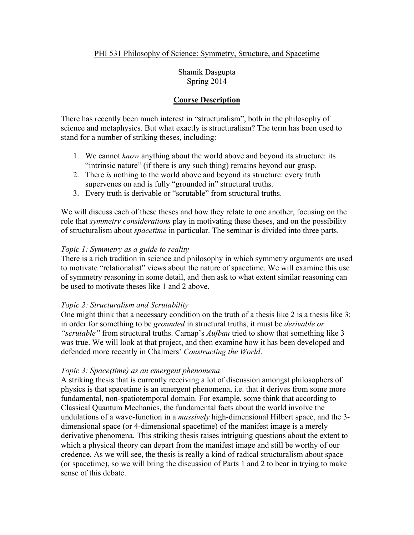Shamik Dasgupta Spring 2014

### **Course Description**

There has recently been much interest in "structuralism", both in the philosophy of science and metaphysics. But what exactly is structuralism? The term has been used to stand for a number of striking theses, including:

- 1. We cannot *know* anything about the world above and beyond its structure: its "intrinsic nature" (if there is any such thing) remains beyond our grasp.
- 2. There *is* nothing to the world above and beyond its structure: every truth supervenes on and is fully "grounded in" structural truths.
- 3. Every truth is derivable or "scrutable" from structural truths.

We will discuss each of these theses and how they relate to one another, focusing on the role that *symmetry considerations* play in motivating these theses, and on the possibility of structuralism about *spacetime* in particular. The seminar is divided into three parts.

### *Topic 1: Symmetry as a guide to reality*

There is a rich tradition in science and philosophy in which symmetry arguments are used to motivate "relationalist" views about the nature of spacetime. We will examine this use of symmetry reasoning in some detail, and then ask to what extent similar reasoning can be used to motivate theses like 1 and 2 above.

#### *Topic 2: Structuralism and Scrutability*

One might think that a necessary condition on the truth of a thesis like 2 is a thesis like 3: in order for something to be *grounded* in structural truths, it must be *derivable or "scrutable"* from structural truths. Carnap's *Aufbau* tried to show that something like 3 was true. We will look at that project, and then examine how it has been developed and defended more recently in Chalmers' *Constructing the World*.

#### *Topic 3: Space(time) as an emergent phenomena*

A striking thesis that is currently receiving a lot of discussion amongst philosophers of physics is that spacetime is an emergent phenomena, i.e. that it derives from some more fundamental, non-spatiotemporal domain. For example, some think that according to Classical Quantum Mechanics, the fundamental facts about the world involve the undulations of a wave-function in a *massively* high-dimensional Hilbert space, and the 3 dimensional space (or 4-dimensional spacetime) of the manifest image is a merely derivative phenomena. This striking thesis raises intriguing questions about the extent to which a physical theory can depart from the manifest image and still be worthy of our credence. As we will see, the thesis is really a kind of radical structuralism about space (or spacetime), so we will bring the discussion of Parts 1 and 2 to bear in trying to make sense of this debate.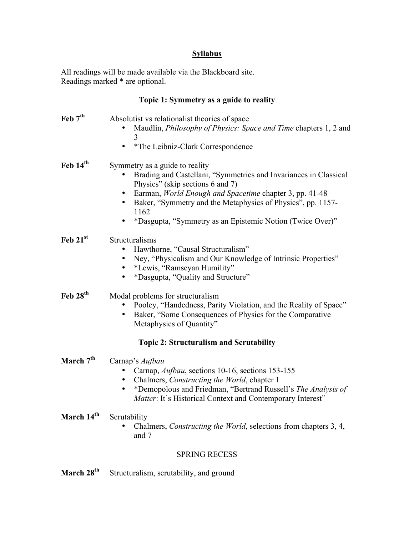## **Syllabus**

All readings will be made available via the Blackboard site. Readings marked \* are optional.

# **Topic 1: Symmetry as a guide to reality**

| Feb 7 <sup>th</sup>                            | Absolutist vs relationalist theories of space<br>Maudlin, <i>Philosophy of Physics: Space and Time chapters 1, 2 and</i><br>3<br>*The Leibniz-Clark Correspondence<br>$\bullet$                                                                                                                                                                                 |  |
|------------------------------------------------|-----------------------------------------------------------------------------------------------------------------------------------------------------------------------------------------------------------------------------------------------------------------------------------------------------------------------------------------------------------------|--|
| Feb 14th                                       | Symmetry as a guide to reality<br>Brading and Castellani, "Symmetries and Invariances in Classical<br>Physics" (skip sections 6 and 7)<br>Earman, World Enough and Spacetime chapter 3, pp. 41-48<br>$\bullet$<br>Baker, "Symmetry and the Metaphysics of Physics", pp. 1157-<br>$\bullet$<br>1162<br>*Dasgupta, "Symmetry as an Epistemic Notion (Twice Over)" |  |
| Feb 21st                                       | Structuralisms<br>Hawthorne, "Causal Structuralism"<br>Ney, "Physicalism and Our Knowledge of Intrinsic Properties"<br>$\bullet$<br>*Lewis, "Ramseyan Humility"<br>*Dasgupta, "Quality and Structure"                                                                                                                                                           |  |
| Feb 28 <sup>th</sup>                           | Modal problems for structuralism<br>Pooley, "Handedness, Parity Violation, and the Reality of Space"<br>Baker, "Some Consequences of Physics for the Comparative<br>Metaphysics of Quantity"                                                                                                                                                                    |  |
| <b>Topic 2: Structuralism and Scrutability</b> |                                                                                                                                                                                                                                                                                                                                                                 |  |
| March 7 <sup>th</sup>                          | Carnap's Aufbau<br>Carnap, Aufbau, sections 10-16, sections 153-155<br>Chalmers, Constructing the World, chapter 1<br>*Demopolous and Friedman, "Bertrand Russell's The Analysis of<br>$\bullet$<br>Matter: It's Historical Context and Contemporary Interest"                                                                                                  |  |
| March 14 <sup>th</sup>                         | Scrutability<br>Chalmers, <i>Constructing the World</i> , selections from chapters 3, 4,<br>and 7                                                                                                                                                                                                                                                               |  |
| <b>SPRING RECESS</b>                           |                                                                                                                                                                                                                                                                                                                                                                 |  |

March 28<sup>th</sup> Structuralism, scrutability, and ground